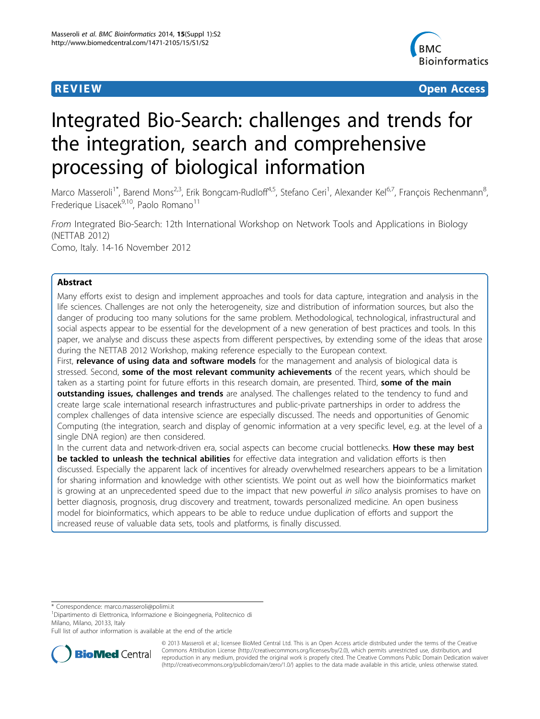

**REVIEW CONSTRUCTION CONSTRUCTION CONSTRUCTS** 

# Integrated Bio-Search: challenges and trends for the integration, search and comprehensive processing of biological information

Marco Masseroli<sup>1\*</sup>, Barend Mons<sup>2,3</sup>, Erik Bongcam-Rudloff<sup>4,5</sup>, Stefano Ceri<sup>1</sup>, Alexander Kel<sup>6,7</sup>, François Rechenmann<sup>8</sup> , Frederique Lisacek $9,10$ , Paolo Romano $11$ 

From Integrated Bio-Search: 12th International Workshop on Network Tools and Applications in Biology (NETTAB 2012) Como, Italy. 14-16 November 2012

# Abstract

Many efforts exist to design and implement approaches and tools for data capture, integration and analysis in the life sciences. Challenges are not only the heterogeneity, size and distribution of information sources, but also the danger of producing too many solutions for the same problem. Methodological, technological, infrastructural and social aspects appear to be essential for the development of a new generation of best practices and tools. In this paper, we analyse and discuss these aspects from different perspectives, by extending some of the ideas that arose during the NETTAB 2012 Workshop, making reference especially to the European context.

First, relevance of using data and software models for the management and analysis of biological data is stressed. Second, some of the most relevant community achievements of the recent years, which should be taken as a starting point for future efforts in this research domain, are presented. Third, some of the main outstanding issues, challenges and trends are analysed. The challenges related to the tendency to fund and create large scale international research infrastructures and public-private partnerships in order to address the complex challenges of data intensive science are especially discussed. The needs and opportunities of Genomic Computing (the integration, search and display of genomic information at a very specific level, e.g. at the level of a single DNA region) are then considered.

In the current data and network-driven era, social aspects can become crucial bottlenecks. How these may best be tackled to unleash the technical abilities for effective data integration and validation efforts is then discussed. Especially the apparent lack of incentives for already overwhelmed researchers appears to be a limitation for sharing information and knowledge with other scientists. We point out as well how the bioinformatics market is growing at an unprecedented speed due to the impact that new powerful in silico analysis promises to have on better diagnosis, prognosis, drug discovery and treatment, towards personalized medicine. An open business model for bioinformatics, which appears to be able to reduce undue duplication of efforts and support the increased reuse of valuable data sets, tools and platforms, is finally discussed.

\* Correspondence: [marco.masseroli@polimi.it](mailto:marco.masseroli@polimi.it)

<sup>1</sup>Dipartimento di Elettronica, Informazione e Bioingegneria, Politecnico di Milano, Milano, 20133, Italy

Full list of author information is available at the end of the article



© 2013 Masseroli et al.; licensee BioMed Central Ltd. This is an Open Access article distributed under the terms of the Creative Commons Attribution License [\(http://creativecommons.org/licenses/by/2.0](http://creativecommons.org/licenses/by/2.0)), which permits unrestricted use, distribution, and reproduction in any medium, provided the original work is properly cited. The Creative Commons Public Domain Dedication waiver [\(http://creativecommons.org/publicdomain/zero/1.0/](http://creativecommons.org/publicdomain/zero/1.0/)) applies to the data made available in this article, unless otherwise stated.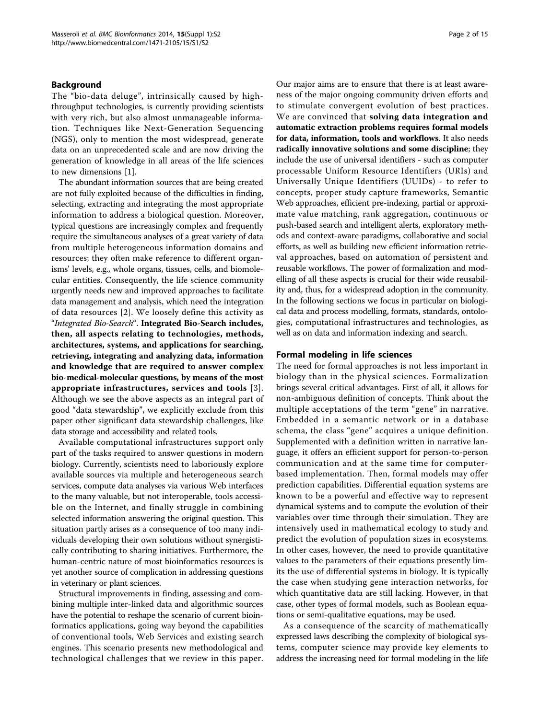# Background

The "bio-data deluge", intrinsically caused by highthroughput technologies, is currently providing scientists with very rich, but also almost unmanageable information. Techniques like Next-Generation Sequencing (NGS), only to mention the most widespread, generate data on an unprecedented scale and are now driving the generation of knowledge in all areas of the life sciences to new dimensions [[1](#page-13-0)].

The abundant information sources that are being created are not fully exploited because of the difficulties in finding, selecting, extracting and integrating the most appropriate information to address a biological question. Moreover, typical questions are increasingly complex and frequently require the simultaneous analyses of a great variety of data from multiple heterogeneous information domains and resources; they often make reference to different organisms' levels, e.g., whole organs, tissues, cells, and biomolecular entities. Consequently, the life science community urgently needs new and improved approaches to facilitate data management and analysis, which need the integration of data resources [[2](#page-13-0)]. We loosely define this activity as "Integrated Bio-Search". Integrated Bio-Search includes, then, all aspects relating to technologies, methods, architectures, systems, and applications for searching, retrieving, integrating and analyzing data, information and knowledge that are required to answer complex bio-medical-molecular questions, by means of the most appropriate infrastructures, services and tools [[3\]](#page-13-0). Although we see the above aspects as an integral part of good "data stewardship", we explicitly exclude from this paper other significant data stewardship challenges, like data storage and accessibility and related tools.

Available computational infrastructures support only part of the tasks required to answer questions in modern biology. Currently, scientists need to laboriously explore available sources via multiple and heterogeneous search services, compute data analyses via various Web interfaces to the many valuable, but not interoperable, tools accessible on the Internet, and finally struggle in combining selected information answering the original question. This situation partly arises as a consequence of too many individuals developing their own solutions without synergistically contributing to sharing initiatives. Furthermore, the human-centric nature of most bioinformatics resources is yet another source of complication in addressing questions in veterinary or plant sciences.

Structural improvements in finding, assessing and combining multiple inter-linked data and algorithmic sources have the potential to reshape the scenario of current bioinformatics applications, going way beyond the capabilities of conventional tools, Web Services and existing search engines. This scenario presents new methodological and technological challenges that we review in this paper.

Our major aims are to ensure that there is at least awareness of the major ongoing community driven efforts and to stimulate convergent evolution of best practices. We are convinced that solving data integration and automatic extraction problems requires formal models for data, information, tools and workflows. It also needs radically innovative solutions and some discipline; they include the use of universal identifiers - such as computer processable Uniform Resource Identifiers (URIs) and Universally Unique Identifiers (UUIDs) - to refer to concepts, proper study capture frameworks, Semantic Web approaches, efficient pre-indexing, partial or approximate value matching, rank aggregation, continuous or push-based search and intelligent alerts, exploratory methods and context-aware paradigms, collaborative and social efforts, as well as building new efficient information retrieval approaches, based on automation of persistent and reusable workflows. The power of formalization and modelling of all these aspects is crucial for their wide reusability and, thus, for a widespread adoption in the community. In the following sections we focus in particular on biological data and process modelling, formats, standards, ontologies, computational infrastructures and technologies, as well as on data and information indexing and search.

# Formal modeling in life sciences

The need for formal approaches is not less important in biology than in the physical sciences. Formalization brings several critical advantages. First of all, it allows for non-ambiguous definition of concepts. Think about the multiple acceptations of the term "gene" in narrative. Embedded in a semantic network or in a database schema, the class "gene" acquires a unique definition. Supplemented with a definition written in narrative language, it offers an efficient support for person-to-person communication and at the same time for computerbased implementation. Then, formal models may offer prediction capabilities. Differential equation systems are known to be a powerful and effective way to represent dynamical systems and to compute the evolution of their variables over time through their simulation. They are intensively used in mathematical ecology to study and predict the evolution of population sizes in ecosystems. In other cases, however, the need to provide quantitative values to the parameters of their equations presently limits the use of differential systems in biology. It is typically the case when studying gene interaction networks, for which quantitative data are still lacking. However, in that case, other types of formal models, such as Boolean equations or semi-qualitative equations, may be used.

As a consequence of the scarcity of mathematically expressed laws describing the complexity of biological systems, computer science may provide key elements to address the increasing need for formal modeling in the life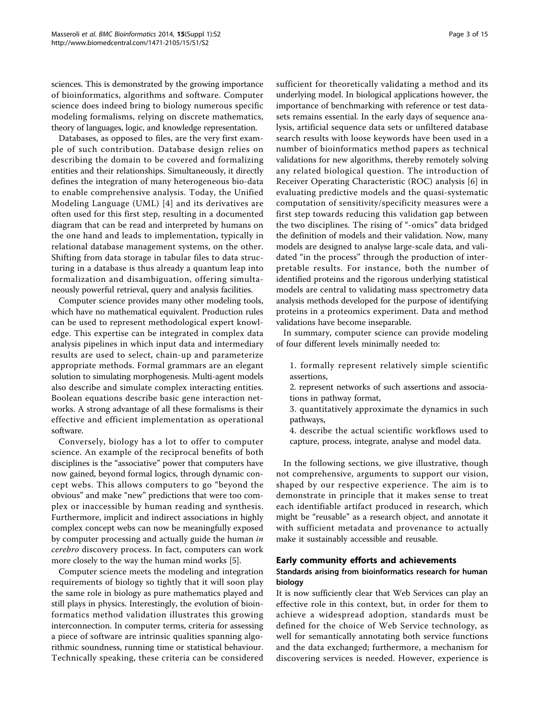sciences. This is demonstrated by the growing importance of bioinformatics, algorithms and software. Computer science does indeed bring to biology numerous specific modeling formalisms, relying on discrete mathematics, theory of languages, logic, and knowledge representation.

Databases, as opposed to files, are the very first example of such contribution. Database design relies on describing the domain to be covered and formalizing entities and their relationships. Simultaneously, it directly defines the integration of many heterogeneous bio-data to enable comprehensive analysis. Today, the Unified Modeling Language (UML) [[4\]](#page-13-0) and its derivatives are often used for this first step, resulting in a documented diagram that can be read and interpreted by humans on the one hand and leads to implementation, typically in relational database management systems, on the other. Shifting from data storage in tabular files to data structuring in a database is thus already a quantum leap into formalization and disambiguation, offering simultaneously powerful retrieval, query and analysis facilities.

Computer science provides many other modeling tools, which have no mathematical equivalent. Production rules can be used to represent methodological expert knowledge. This expertise can be integrated in complex data analysis pipelines in which input data and intermediary results are used to select, chain-up and parameterize appropriate methods. Formal grammars are an elegant solution to simulating morphogenesis. Multi-agent models also describe and simulate complex interacting entities. Boolean equations describe basic gene interaction networks. A strong advantage of all these formalisms is their effective and efficient implementation as operational software.

Conversely, biology has a lot to offer to computer science. An example of the reciprocal benefits of both disciplines is the "associative" power that computers have now gained, beyond formal logics, through dynamic concept webs. This allows computers to go "beyond the obvious" and make "new" predictions that were too complex or inaccessible by human reading and synthesis. Furthermore, implicit and indirect associations in highly complex concept webs can now be meaningfully exposed by computer processing and actually guide the human in cerebro discovery process. In fact, computers can work more closely to the way the human mind works [\[5\]](#page-13-0).

Computer science meets the modeling and integration requirements of biology so tightly that it will soon play the same role in biology as pure mathematics played and still plays in physics. Interestingly, the evolution of bioinformatics method validation illustrates this growing interconnection. In computer terms, criteria for assessing a piece of software are intrinsic qualities spanning algorithmic soundness, running time or statistical behaviour. Technically speaking, these criteria can be considered sufficient for theoretically validating a method and its underlying model. In biological applications however, the importance of benchmarking with reference or test datasets remains essential. In the early days of sequence analysis, artificial sequence data sets or unfiltered database search results with loose keywords have been used in a number of bioinformatics method papers as technical validations for new algorithms, thereby remotely solving any related biological question. The introduction of Receiver Operating Characteristic (ROC) analysis [[6](#page-13-0)] in evaluating predictive models and the quasi-systematic computation of sensitivity/specificity measures were a first step towards reducing this validation gap between the two disciplines. The rising of "-omics" data bridged the definition of models and their validation. Now, many models are designed to analyse large-scale data, and validated "in the process" through the production of interpretable results. For instance, both the number of identified proteins and the rigorous underlying statistical models are central to validating mass spectrometry data analysis methods developed for the purpose of identifying proteins in a proteomics experiment. Data and method validations have become inseparable.

In summary, computer science can provide modeling of four different levels minimally needed to:

- 1. formally represent relatively simple scientific assertions,
- 2. represent networks of such assertions and associations in pathway format,
- 3. quantitatively approximate the dynamics in such pathways,
- 4. describe the actual scientific workflows used to capture, process, integrate, analyse and model data.

In the following sections, we give illustrative, though not comprehensive, arguments to support our vision, shaped by our respective experience. The aim is to demonstrate in principle that it makes sense to treat each identifiable artifact produced in research, which might be "reusable" as a research object, and annotate it with sufficient metadata and provenance to actually make it sustainably accessible and reusable.

# Early community efforts and achievements

# Standards arising from bioinformatics research for human biology

It is now sufficiently clear that Web Services can play an effective role in this context, but, in order for them to achieve a widespread adoption, standards must be defined for the choice of Web Service technology, as well for semantically annotating both service functions and the data exchanged; furthermore, a mechanism for discovering services is needed. However, experience is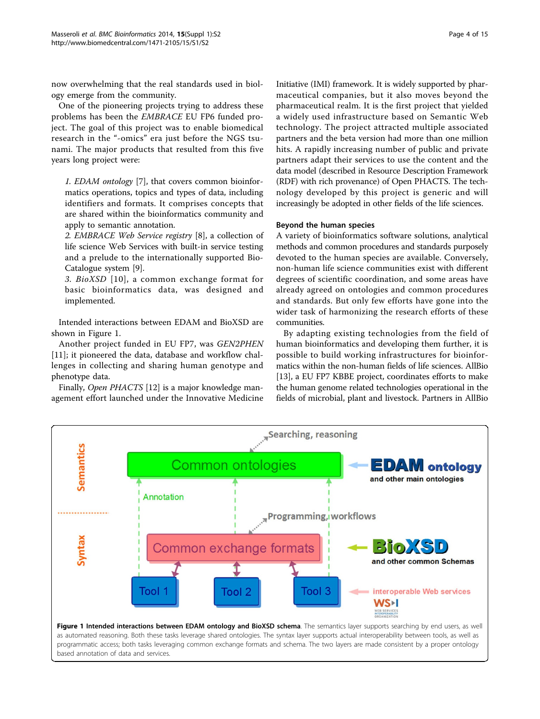now overwhelming that the real standards used in biology emerge from the community.

One of the pioneering projects trying to address these problems has been the EMBRACE EU FP6 funded project. The goal of this project was to enable biomedical research in the "-omics" era just before the NGS tsunami. The major products that resulted from this five years long project were:

1. EDAM ontology [\[7\]](#page-13-0), that covers common bioinformatics operations, topics and types of data, including identifiers and formats. It comprises concepts that are shared within the bioinformatics community and apply to semantic annotation.

2. EMBRACE Web Service registry [\[8](#page-13-0)], a collection of life science Web Services with built-in service testing and a prelude to the internationally supported Bio-Catalogue system [\[9](#page-13-0)].

3. BioXSD [[10](#page-13-0)], a common exchange format for basic bioinformatics data, was designed and implemented.

Intended interactions between EDAM and BioXSD are shown in Figure 1.

Another project funded in EU FP7, was GEN2PHEN [[11\]](#page-13-0); it pioneered the data, database and workflow challenges in collecting and sharing human genotype and phenotype data.

Finally, Open PHACTS [[12\]](#page-13-0) is a major knowledge management effort launched under the Innovative Medicine Initiative (IMI) framework. It is widely supported by pharmaceutical companies, but it also moves beyond the pharmaceutical realm. It is the first project that yielded a widely used infrastructure based on Semantic Web technology. The project attracted multiple associated partners and the beta version had more than one million hits. A rapidly increasing number of public and private partners adapt their services to use the content and the data model (described in Resource Description Framework (RDF) with rich provenance) of Open PHACTS. The technology developed by this project is generic and will increasingly be adopted in other fields of the life sciences.

# Beyond the human species

A variety of bioinformatics software solutions, analytical methods and common procedures and standards purposely devoted to the human species are available. Conversely, non-human life science communities exist with different degrees of scientific coordination, and some areas have already agreed on ontologies and common procedures and standards. But only few efforts have gone into the wider task of harmonizing the research efforts of these communities.

By adapting existing technologies from the field of human bioinformatics and developing them further, it is possible to build working infrastructures for bioinformatics within the non-human fields of life sciences. AllBio [[13\]](#page-13-0), a EU FP7 KBBE project, coordinates efforts to make the human genome related technologies operational in the fields of microbial, plant and livestock. Partners in AllBio

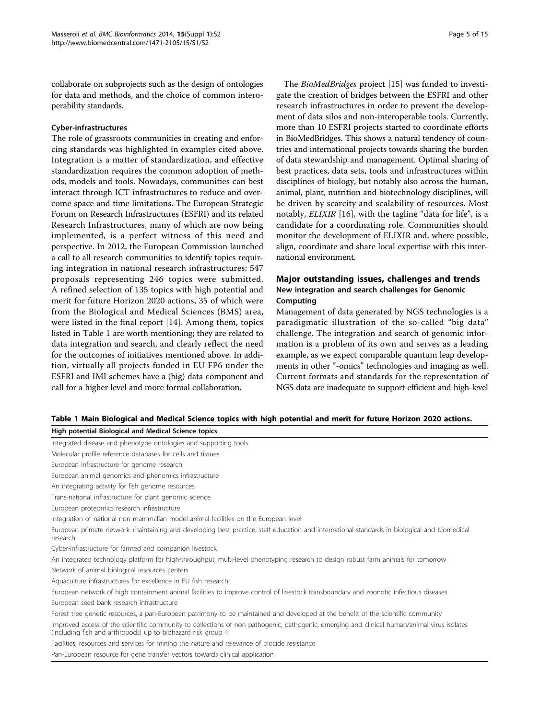collaborate on subprojects such as the design of ontologies for data and methods, and the choice of common interoperability standards.

# Cyber-infrastructures

The role of grassroots communities in creating and enforcing standards was highlighted in examples cited above. Integration is a matter of standardization, and effective standardization requires the common adoption of methods, models and tools. Nowadays, communities can best interact through ICT infrastructures to reduce and overcome space and time limitations. The European Strategic Forum on Research Infrastructures (ESFRI) and its related Research Infrastructures, many of which are now being implemented, is a perfect witness of this need and perspective. In 2012, the European Commission launched a call to all research communities to identify topics requiring integration in national research infrastructures: 547 proposals representing 246 topics were submitted. A refined selection of 135 topics with high potential and merit for future Horizon 2020 actions, 35 of which were from the Biological and Medical Sciences (BMS) area, were listed in the final report [\[14](#page-13-0)]. Among them, topics listed in Table 1 are worth mentioning; they are related to data integration and search, and clearly reflect the need for the outcomes of initiatives mentioned above. In addition, virtually all projects funded in EU FP6 under the ESFRI and IMI schemes have a (big) data component and call for a higher level and more formal collaboration.

The BioMedBridges project [\[15](#page-13-0)] was funded to investigate the creation of bridges between the ESFRI and other research infrastructures in order to prevent the development of data silos and non-interoperable tools. Currently, more than 10 ESFRI projects started to coordinate efforts in BioMedBridges. This shows a natural tendency of countries and international projects towards sharing the burden of data stewardship and management. Optimal sharing of best practices, data sets, tools and infrastructures within disciplines of biology, but notably also across the human, animal, plant, nutrition and biotechnology disciplines, will be driven by scarcity and scalability of resources. Most notably, ELIXIR [[16](#page-13-0)], with the tagline "data for life", is a candidate for a coordinating role. Communities should monitor the development of ELIXIR and, where possible, align, coordinate and share local expertise with this international environment.

# Major outstanding issues, challenges and trends New integration and search challenges for Genomic Computing

Management of data generated by NGS technologies is a paradigmatic illustration of the so-called "big data" challenge. The integration and search of genomic information is a problem of its own and serves as a leading example, as we expect comparable quantum leap developments in other "-omics" technologies and imaging as well. Current formats and standards for the representation of NGS data are inadequate to support efficient and high-level

# Table 1 Main Biological and Medical Science topics with high potential and merit for future Horizon 2020 actions.

| High potential Biological and Medical Science topics                                                                                                                                                        |
|-------------------------------------------------------------------------------------------------------------------------------------------------------------------------------------------------------------|
| Integrated disease and phenotype ontologies and supporting tools                                                                                                                                            |
| Molecular profile reference databases for cells and tissues                                                                                                                                                 |
| European infrastructure for genome research                                                                                                                                                                 |
| European animal genomics and phenomics infrastructure                                                                                                                                                       |
| An integrating activity for fish genome resources                                                                                                                                                           |
| Trans-national infrastructure for plant genomic science                                                                                                                                                     |
| European proteomics research infrastructure                                                                                                                                                                 |
| Integration of national non mammalian model animal facilities on the European level                                                                                                                         |
| European primate network: maintaining and developing best practice, staff education and international standards in biological and biomedical<br>research                                                    |
| Cyber-infrastructure for farmed and companion livestock                                                                                                                                                     |
| An integrated technology platform for high-throughput, multi-level phenotyping research to design robust farm animals for tomorrow                                                                          |
| Network of animal biological resources centers                                                                                                                                                              |
| Aquaculture infrastructures for excellence in EU fish research                                                                                                                                              |
| European network of high containment animal facilities to improve control of livestock transboundary and zoonotic infectious diseases                                                                       |
| European seed bank research infrastructure                                                                                                                                                                  |
| Forest tree genetic resources, a pan-European patrimony to be maintained and developed at the benefit of the scientific community                                                                           |
| Improved access of the scientific community to collections of non pathogenic, pathogenic, emerging and clinical human/animal virus isolates<br>(including fish and arthropods) up to biohazard risk group 4 |
| Facilities, resources and services for mining the nature and relevance of biocide resistance                                                                                                                |
| Pan-European resource for gene transfer vectors towards clinical application                                                                                                                                |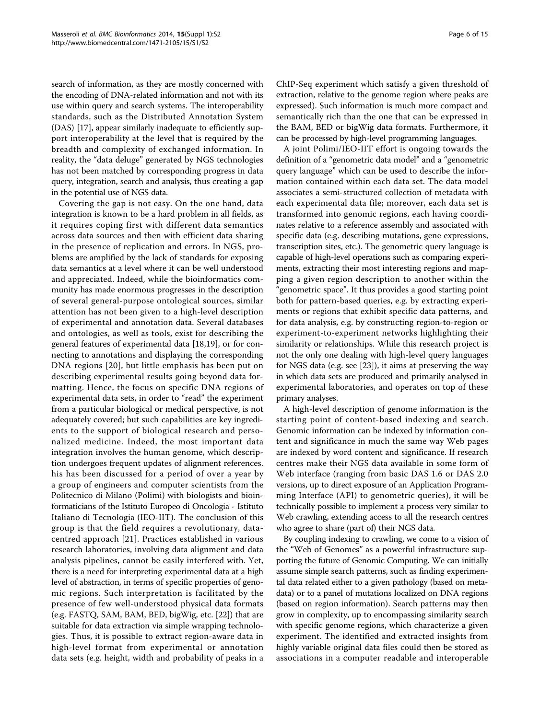search of information, as they are mostly concerned with the encoding of DNA-related information and not with its use within query and search systems. The interoperability standards, such as the Distributed Annotation System (DAS) [[17\]](#page-13-0), appear similarly inadequate to efficiently support interoperability at the level that is required by the breadth and complexity of exchanged information. In reality, the "data deluge" generated by NGS technologies has not been matched by corresponding progress in data query, integration, search and analysis, thus creating a gap in the potential use of NGS data.

Covering the gap is not easy. On the one hand, data integration is known to be a hard problem in all fields, as it requires coping first with different data semantics across data sources and then with efficient data sharing in the presence of replication and errors. In NGS, problems are amplified by the lack of standards for exposing data semantics at a level where it can be well understood and appreciated. Indeed, while the bioinformatics community has made enormous progresses in the description of several general-purpose ontological sources, similar attention has not been given to a high-level description of experimental and annotation data. Several databases and ontologies, as well as tools, exist for describing the general features of experimental data [\[18,19](#page-13-0)], or for connecting to annotations and displaying the corresponding DNA regions [[20](#page-13-0)], but little emphasis has been put on describing experimental results going beyond data formatting. Hence, the focus on specific DNA regions of experimental data sets, in order to "read" the experiment from a particular biological or medical perspective, is not adequately covered; but such capabilities are key ingredients to the support of biological research and personalized medicine. Indeed, the most important data integration involves the human genome, which description undergoes frequent updates of alignment references. his has been discussed for a period of over a year by a group of engineers and computer scientists from the Politecnico di Milano (Polimi) with biologists and bioinformaticians of the Istituto Europeo di Oncologia - Istituto Italiano di Tecnologia (IEO-IIT). The conclusion of this group is that the field requires a revolutionary, datacentred approach [[21](#page-13-0)]. Practices established in various research laboratories, involving data alignment and data analysis pipelines, cannot be easily interfered with. Yet, there is a need for interpreting experimental data at a high level of abstraction, in terms of specific properties of genomic regions. Such interpretation is facilitated by the presence of few well-understood physical data formats (e.g. FASTQ, SAM, BAM, BED, bigWig, etc. [[22\]](#page-13-0)) that are suitable for data extraction via simple wrapping technologies. Thus, it is possible to extract region-aware data in high-level format from experimental or annotation data sets (e.g. height, width and probability of peaks in a ChIP-Seq experiment which satisfy a given threshold of extraction, relative to the genome region where peaks are expressed). Such information is much more compact and semantically rich than the one that can be expressed in the BAM, BED or bigWig data formats. Furthermore, it can be processed by high-level programming languages.

A joint Polimi/IEO-IIT effort is ongoing towards the definition of a "genometric data model" and a "genometric query language" which can be used to describe the information contained within each data set. The data model associates a semi-structured collection of metadata with each experimental data file; moreover, each data set is transformed into genomic regions, each having coordinates relative to a reference assembly and associated with specific data (e.g. describing mutations, gene expressions, transcription sites, etc.). The genometric query language is capable of high-level operations such as comparing experiments, extracting their most interesting regions and mapping a given region description to another within the "genometric space". It thus provides a good starting point both for pattern-based queries, e.g. by extracting experiments or regions that exhibit specific data patterns, and for data analysis, e.g. by constructing region-to-region or experiment-to-experiment networks highlighting their similarity or relationships. While this research project is not the only one dealing with high-level query languages for NGS data (e.g. see [[23\]](#page-13-0)), it aims at preserving the way in which data sets are produced and primarily analysed in experimental laboratories, and operates on top of these primary analyses.

A high-level description of genome information is the starting point of content-based indexing and search. Genomic information can be indexed by information content and significance in much the same way Web pages are indexed by word content and significance. If research centres make their NGS data available in some form of Web interface (ranging from basic DAS 1.6 or DAS 2.0 versions, up to direct exposure of an Application Programming Interface (API) to genometric queries), it will be technically possible to implement a process very similar to Web crawling, extending access to all the research centres who agree to share (part of) their NGS data.

By coupling indexing to crawling, we come to a vision of the "Web of Genomes" as a powerful infrastructure supporting the future of Genomic Computing. We can initially assume simple search patterns, such as finding experimental data related either to a given pathology (based on metadata) or to a panel of mutations localized on DNA regions (based on region information). Search patterns may then grow in complexity, up to encompassing similarity search with specific genome regions, which characterize a given experiment. The identified and extracted insights from highly variable original data files could then be stored as associations in a computer readable and interoperable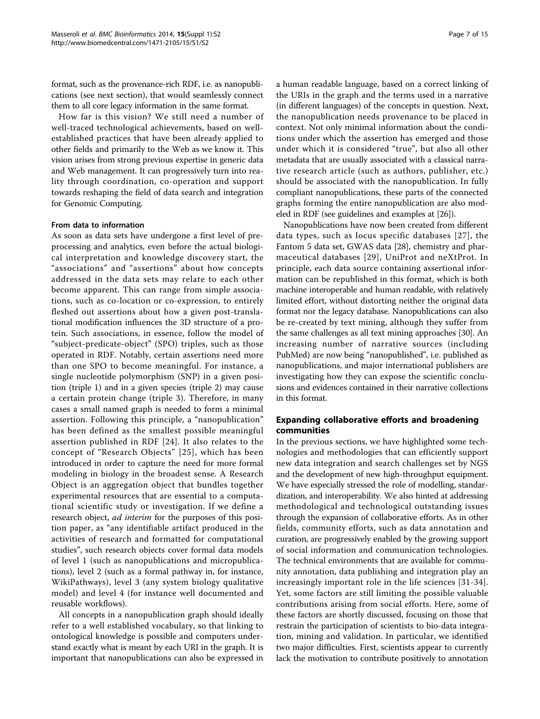format, such as the provenance-rich RDF, i.e. as nanopublications (see next section), that would seamlessly connect them to all core legacy information in the same format.

How far is this vision? We still need a number of well-traced technological achievements, based on wellestablished practices that have been already applied to other fields and primarily to the Web as we know it. This vision arises from strong previous expertise in generic data and Web management. It can progressively turn into reality through coordination, co-operation and support towards reshaping the field of data search and integration for Genomic Computing.

# From data to information

As soon as data sets have undergone a first level of preprocessing and analytics, even before the actual biological interpretation and knowledge discovery start, the "associations" and "assertions" about how concepts addressed in the data sets may relate to each other become apparent. This can range from simple associations, such as co-location or co-expression, to entirely fleshed out assertions about how a given post-translational modification influences the 3D structure of a protein. Such associations, in essence, follow the model of "subject-predicate-object" (SPO) triples, such as those operated in RDF. Notably, certain assertions need more than one SPO to become meaningful. For instance, a single nucleotide polymorphism (SNP) in a given position (triple 1) and in a given species (triple 2) may cause a certain protein change (triple 3). Therefore, in many cases a small named graph is needed to form a minimal assertion. Following this principle, a "nanopublication" has been defined as the smallest possible meaningful assertion published in RDF [\[24\]](#page-13-0). It also relates to the concept of "Research Objects" [[25](#page-13-0)], which has been introduced in order to capture the need for more formal modeling in biology in the broadest sense. A Research Object is an aggregation object that bundles together experimental resources that are essential to a computational scientific study or investigation. If we define a research object, *ad interim* for the purposes of this position paper, as "any identifiable artifact produced in the activities of research and formatted for computational studies", such research objects cover formal data models of level 1 (such as nanopublications and micropublications), level 2 (such as a formal pathway in, for instance, WikiPathways), level 3 (any system biology qualitative model) and level 4 (for instance well documented and reusable workflows).

All concepts in a nanopublication graph should ideally refer to a well established vocabulary, so that linking to ontological knowledge is possible and computers understand exactly what is meant by each URI in the graph. It is important that nanopublications can also be expressed in a human readable language, based on a correct linking of the URIs in the graph and the terms used in a narrative (in different languages) of the concepts in question. Next, the nanopublication needs provenance to be placed in context. Not only minimal information about the conditions under which the assertion has emerged and those under which it is considered "true", but also all other metadata that are usually associated with a classical narrative research article (such as authors, publisher, etc.) should be associated with the nanopublication. In fully compliant nanopublications, these parts of the connected graphs forming the entire nanopublication are also modeled in RDF (see guidelines and examples at [\[26\]](#page-13-0)).

Nanopublications have now been created from different data types, such as locus specific databases [[27](#page-13-0)], the Fantom 5 data set, GWAS data [\[28\]](#page-13-0), chemistry and pharmaceutical databases [[29](#page-13-0)], UniProt and neXtProt. In principle, each data source containing assertional information can be republished in this format, which is both machine interoperable and human readable, with relatively limited effort, without distorting neither the original data format nor the legacy database. Nanopublications can also be re-created by text mining, although they suffer from the same challenges as all text mining approaches [[30](#page-13-0)]. An increasing number of narrative sources (including PubMed) are now being "nanopublished", i.e. published as nanopublications, and major international publishers are investigating how they can expose the scientific conclusions and evidences contained in their narrative collections in this format.

# Expanding collaborative efforts and broadening communities

In the previous sections, we have highlighted some technologies and methodologies that can efficiently support new data integration and search challenges set by NGS and the development of new high-throughput equipment. We have especially stressed the role of modelling, standardization, and interoperability. We also hinted at addressing methodological and technological outstanding issues through the expansion of collaborative efforts. As in other fields, community efforts, such as data annotation and curation, are progressively enabled by the growing support of social information and communication technologies. The technical environments that are available for community annotation, data publishing and integration play an increasingly important role in the life sciences [[31](#page-13-0)-[34](#page-14-0)]. Yet, some factors are still limiting the possible valuable contributions arising from social efforts. Here, some of these factors are shortly discussed, focusing on those that restrain the participation of scientists to bio-data integration, mining and validation. In particular, we identified two major difficulties. First, scientists appear to currently lack the motivation to contribute positively to annotation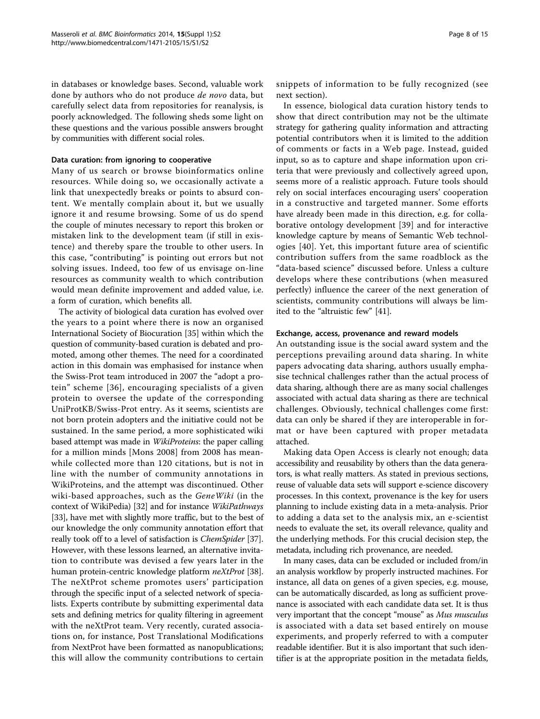in databases or knowledge bases. Second, valuable work done by authors who do not produce de novo data, but carefully select data from repositories for reanalysis, is poorly acknowledged. The following sheds some light on these questions and the various possible answers brought by communities with different social roles.

# Data curation: from ignoring to cooperative

Many of us search or browse bioinformatics online resources. While doing so, we occasionally activate a link that unexpectedly breaks or points to absurd content. We mentally complain about it, but we usually ignore it and resume browsing. Some of us do spend the couple of minutes necessary to report this broken or mistaken link to the development team (if still in existence) and thereby spare the trouble to other users. In this case, "contributing" is pointing out errors but not solving issues. Indeed, too few of us envisage on-line resources as community wealth to which contribution would mean definite improvement and added value, i.e. a form of curation, which benefits all.

The activity of biological data curation has evolved over the years to a point where there is now an organised International Society of Biocuration [[35\]](#page-14-0) within which the question of community-based curation is debated and promoted, among other themes. The need for a coordinated action in this domain was emphasised for instance when the Swiss-Prot team introduced in 2007 the "adopt a protein" scheme [[36](#page-14-0)], encouraging specialists of a given protein to oversee the update of the corresponding UniProtKB/Swiss-Prot entry. As it seems, scientists are not born protein adopters and the initiative could not be sustained. In the same period, a more sophisticated wiki based attempt was made in WikiProteins: the paper calling for a million minds [Mons 2008] from 2008 has meanwhile collected more than 120 citations, but is not in line with the number of community annotations in WikiProteins, and the attempt was discontinued. Other wiki-based approaches, such as the GeneWiki (in the context of WikiPedia) [\[32\]](#page-14-0) and for instance WikiPathways [[33](#page-14-0)], have met with slightly more traffic, but to the best of our knowledge the only community annotation effort that really took off to a level of satisfaction is *ChemSpider* [[37](#page-14-0)]. However, with these lessons learned, an alternative invitation to contribute was devised a few years later in the human protein-centric knowledge platform neXtProt [[38](#page-14-0)]. The neXtProt scheme promotes users' participation through the specific input of a selected network of specialists. Experts contribute by submitting experimental data sets and defining metrics for quality filtering in agreement with the neXtProt team. Very recently, curated associations on, for instance, Post Translational Modifications from NextProt have been formatted as nanopublications; this will allow the community contributions to certain snippets of information to be fully recognized (see next section).

In essence, biological data curation history tends to show that direct contribution may not be the ultimate strategy for gathering quality information and attracting potential contributors when it is limited to the addition of comments or facts in a Web page. Instead, guided input, so as to capture and shape information upon criteria that were previously and collectively agreed upon, seems more of a realistic approach. Future tools should rely on social interfaces encouraging users' cooperation in a constructive and targeted manner. Some efforts have already been made in this direction, e.g. for collaborative ontology development [\[39](#page-14-0)] and for interactive knowledge capture by means of Semantic Web technologies [[40](#page-14-0)]. Yet, this important future area of scientific contribution suffers from the same roadblock as the "data-based science" discussed before. Unless a culture develops where these contributions (when measured perfectly) influence the career of the next generation of scientists, community contributions will always be limited to the "altruistic few" [\[41\]](#page-14-0).

### Exchange, access, provenance and reward models

An outstanding issue is the social award system and the perceptions prevailing around data sharing. In white papers advocating data sharing, authors usually emphasise technical challenges rather than the actual process of data sharing, although there are as many social challenges associated with actual data sharing as there are technical challenges. Obviously, technical challenges come first: data can only be shared if they are interoperable in format or have been captured with proper metadata attached.

Making data Open Access is clearly not enough; data accessibility and reusability by others than the data generators, is what really matters. As stated in previous sections, reuse of valuable data sets will support e-science discovery processes. In this context, provenance is the key for users planning to include existing data in a meta-analysis. Prior to adding a data set to the analysis mix, an e-scientist needs to evaluate the set, its overall relevance, quality and the underlying methods. For this crucial decision step, the metadata, including rich provenance, are needed.

In many cases, data can be excluded or included from/in an analysis workflow by properly instructed machines. For instance, all data on genes of a given species, e.g. mouse, can be automatically discarded, as long as sufficient provenance is associated with each candidate data set. It is thus very important that the concept "mouse" as Mus musculus is associated with a data set based entirely on mouse experiments, and properly referred to with a computer readable identifier. But it is also important that such identifier is at the appropriate position in the metadata fields,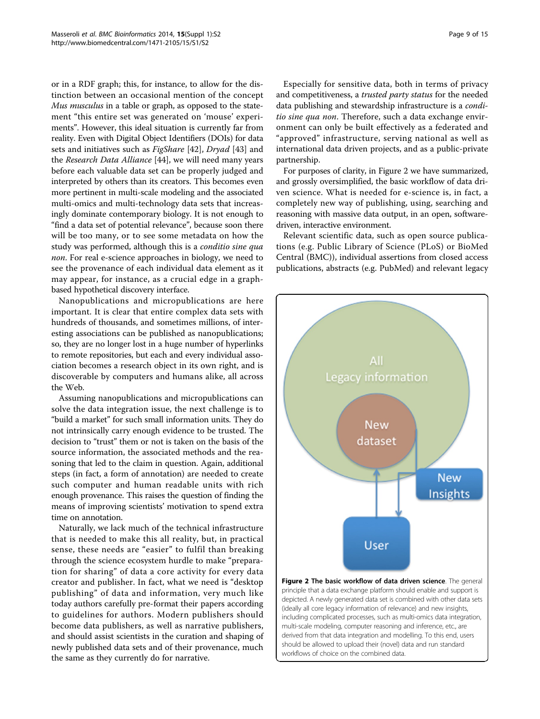or in a RDF graph; this, for instance, to allow for the distinction between an occasional mention of the concept Mus musculus in a table or graph, as opposed to the statement "this entire set was generated on 'mouse' experiments". However, this ideal situation is currently far from reality. Even with Digital Object Identifiers (DOIs) for data sets and initiatives such as FigShare [[42](#page-14-0)], Dryad [[43](#page-14-0)] and the Research Data Alliance [\[44](#page-14-0)], we will need many years before each valuable data set can be properly judged and interpreted by others than its creators. This becomes even more pertinent in multi-scale modeling and the associated multi-omics and multi-technology data sets that increasingly dominate contemporary biology. It is not enough to "find a data set of potential relevance", because soon there will be too many, or to see some metadata on how the study was performed, although this is a conditio sine qua non. For real e-science approaches in biology, we need to see the provenance of each individual data element as it may appear, for instance, as a crucial edge in a graphbased hypothetical discovery interface.

Nanopublications and micropublications are here important. It is clear that entire complex data sets with hundreds of thousands, and sometimes millions, of interesting associations can be published as nanopublications; so, they are no longer lost in a huge number of hyperlinks to remote repositories, but each and every individual association becomes a research object in its own right, and is discoverable by computers and humans alike, all across the Web.

Assuming nanopublications and micropublications can solve the data integration issue, the next challenge is to "build a market" for such small information units. They do not intrinsically carry enough evidence to be trusted. The decision to "trust" them or not is taken on the basis of the source information, the associated methods and the reasoning that led to the claim in question. Again, additional steps (in fact, a form of annotation) are needed to create such computer and human readable units with rich enough provenance. This raises the question of finding the means of improving scientists' motivation to spend extra time on annotation.

Naturally, we lack much of the technical infrastructure that is needed to make this all reality, but, in practical sense, these needs are "easier" to fulfil than breaking through the science ecosystem hurdle to make "preparation for sharing" of data a core activity for every data creator and publisher. In fact, what we need is "desktop publishing" of data and information, very much like today authors carefully pre-format their papers according to guidelines for authors. Modern publishers should become data publishers, as well as narrative publishers, and should assist scientists in the curation and shaping of newly published data sets and of their provenance, much the same as they currently do for narrative.

Especially for sensitive data, both in terms of privacy and competitiveness, a trusted party status for the needed data publishing and stewardship infrastructure is a *condi*tio sine qua non. Therefore, such a data exchange environment can only be built effectively as a federated and "approved" infrastructure, serving national as well as international data driven projects, and as a public-private partnership.

For purposes of clarity, in Figure 2 we have summarized, and grossly oversimplified, the basic workflow of data driven science. What is needed for e-science is, in fact, a completely new way of publishing, using, searching and reasoning with massive data output, in an open, softwaredriven, interactive environment.

Relevant scientific data, such as open source publications (e.g. Public Library of Science (PLoS) or BioMed Central (BMC)), individual assertions from closed access publications, abstracts (e.g. PubMed) and relevant legacy



Figure 2 The basic workflow of data driven science. The general principle that a data exchange platform should enable and support is depicted. A newly generated data set is combined with other data sets (ideally all core legacy information of relevance) and new insights, including complicated processes, such as multi-omics data integration, multi-scale modeling, computer reasoning and inference, etc., are derived from that data integration and modelling. To this end, users should be allowed to upload their (novel) data and run standard workflows of choice on the combined data.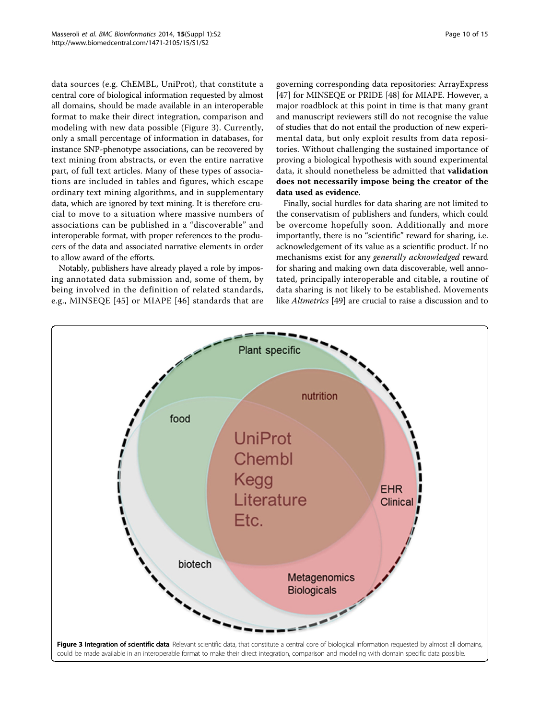data sources (e.g. ChEMBL, UniProt), that constitute a central core of biological information requested by almost all domains, should be made available in an interoperable format to make their direct integration, comparison and modeling with new data possible (Figure 3). Currently, only a small percentage of information in databases, for instance SNP-phenotype associations, can be recovered by text mining from abstracts, or even the entire narrative part, of full text articles. Many of these types of associations are included in tables and figures, which escape ordinary text mining algorithms, and in supplementary data, which are ignored by text mining. It is therefore crucial to move to a situation where massive numbers of associations can be published in a "discoverable" and interoperable format, with proper references to the producers of the data and associated narrative elements in order to allow award of the efforts.

Notably, publishers have already played a role by imposing annotated data submission and, some of them, by being involved in the definition of related standards, e.g., MINSEQE [[45\]](#page-14-0) or MIAPE [[46](#page-14-0)] standards that are

governing corresponding data repositories: ArrayExpress [[47\]](#page-14-0) for MINSEQE or PRIDE [\[48](#page-14-0)] for MIAPE. However, a major roadblock at this point in time is that many grant and manuscript reviewers still do not recognise the value of studies that do not entail the production of new experimental data, but only exploit results from data repositories. Without challenging the sustained importance of proving a biological hypothesis with sound experimental data, it should nonetheless be admitted that validation does not necessarily impose being the creator of the data used as evidence.

Finally, social hurdles for data sharing are not limited to the conservatism of publishers and funders, which could be overcome hopefully soon. Additionally and more importantly, there is no "scientific" reward for sharing, i.e. acknowledgement of its value as a scientific product. If no mechanisms exist for any generally acknowledged reward for sharing and making own data discoverable, well annotated, principally interoperable and citable, a routine of data sharing is not likely to be established. Movements like Altmetrics [[49](#page-14-0)] are crucial to raise a discussion and to

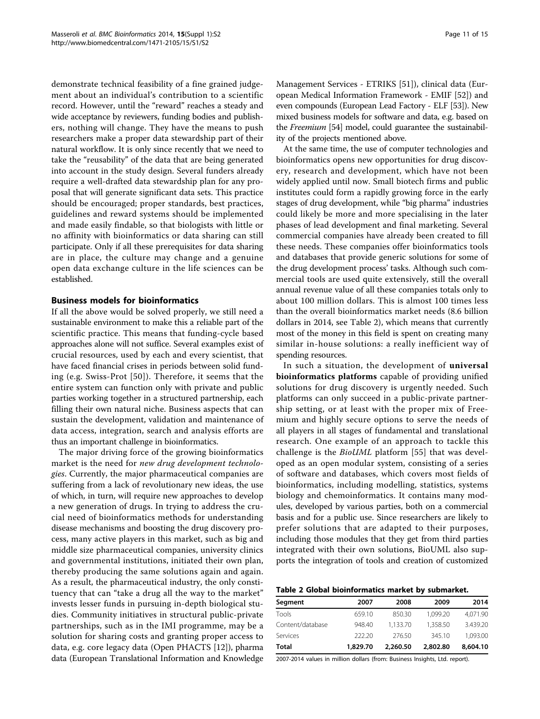demonstrate technical feasibility of a fine grained judgement about an individual's contribution to a scientific record. However, until the "reward" reaches a steady and wide acceptance by reviewers, funding bodies and publishers, nothing will change. They have the means to push researchers make a proper data stewardship part of their natural workflow. It is only since recently that we need to take the "reusability" of the data that are being generated into account in the study design. Several funders already require a well-drafted data stewardship plan for any proposal that will generate significant data sets. This practice should be encouraged; proper standards, best practices, guidelines and reward systems should be implemented and made easily findable, so that biologists with little or no affinity with bioinformatics or data sharing can still participate. Only if all these prerequisites for data sharing are in place, the culture may change and a genuine open data exchange culture in the life sciences can be established.

# Business models for bioinformatics

If all the above would be solved properly, we still need a sustainable environment to make this a reliable part of the scientific practice. This means that funding-cycle based approaches alone will not suffice. Several examples exist of crucial resources, used by each and every scientist, that have faced financial crises in periods between solid funding (e.g. Swiss-Prot [[50](#page-14-0)]). Therefore, it seems that the entire system can function only with private and public parties working together in a structured partnership, each filling their own natural niche. Business aspects that can sustain the development, validation and maintenance of data access, integration, search and analysis efforts are thus an important challenge in bioinformatics.

The major driving force of the growing bioinformatics market is the need for new drug development technologies. Currently, the major pharmaceutical companies are suffering from a lack of revolutionary new ideas, the use of which, in turn, will require new approaches to develop a new generation of drugs. In trying to address the crucial need of bioinformatics methods for understanding disease mechanisms and boosting the drug discovery process, many active players in this market, such as big and middle size pharmaceutical companies, university clinics and governmental institutions, initiated their own plan, thereby producing the same solutions again and again. As a result, the pharmaceutical industry, the only constituency that can "take a drug all the way to the market" invests lesser funds in pursuing in-depth biological studies. Community initiatives in structural public-private partnerships, such as in the IMI programme, may be a solution for sharing costs and granting proper access to data, e.g. core legacy data (Open PHACTS [[12](#page-13-0)]), pharma data (European Translational Information and Knowledge Management Services - ETRIKS [\[51](#page-14-0)]), clinical data (European Medical Information Framework - EMIF [[52](#page-14-0)]) and even compounds (European Lead Factory - ELF [[53](#page-14-0)]). New mixed business models for software and data, e.g. based on the Freemium [[54](#page-14-0)] model, could guarantee the sustainability of the projects mentioned above.

At the same time, the use of computer technologies and bioinformatics opens new opportunities for drug discovery, research and development, which have not been widely applied until now. Small biotech firms and public institutes could form a rapidly growing force in the early stages of drug development, while "big pharma" industries could likely be more and more specialising in the later phases of lead development and final marketing. Several commercial companies have already been created to fill these needs. These companies offer bioinformatics tools and databases that provide generic solutions for some of the drug development process' tasks. Although such commercial tools are used quite extensively, still the overall annual revenue value of all these companies totals only to about 100 million dollars. This is almost 100 times less than the overall bioinformatics market needs (8.6 billion dollars in 2014, see Table 2), which means that currently most of the money in this field is spent on creating many similar in-house solutions: a really inefficient way of spending resources.

In such a situation, the development of universal bioinformatics platforms capable of providing unified solutions for drug discovery is urgently needed. Such platforms can only succeed in a public-private partnership setting, or at least with the proper mix of Freemium and highly secure options to serve the needs of all players in all stages of fundamental and translational research. One example of an approach to tackle this challenge is the BioUML platform [[55](#page-14-0)] that was developed as an open modular system, consisting of a series of software and databases, which covers most fields of bioinformatics, including modelling, statistics, systems biology and chemoinformatics. It contains many modules, developed by various parties, both on a commercial basis and for a public use. Since researchers are likely to prefer solutions that are adapted to their purposes, including those modules that they get from third parties integrated with their own solutions, BioUML also supports the integration of tools and creation of customized

Table 2 Global bioinformatics market by submarket.

| Segment          | 2007     | 2008     | 2009     | 2014     |
|------------------|----------|----------|----------|----------|
| Tools            | 659.10   | 850.30   | 1.099.20 | 4,071.90 |
| Content/database | 948.40   | 1.133.70 | 1.358.50 | 3.439.20 |
| Services         | 222.20   | 276.50   | 345.10   | 1.093.00 |
| Total            | 1,829.70 | 2,260.50 | 2,802.80 | 8,604.10 |

2007-2014 values in million dollars (from: Business Insights, Ltd. report).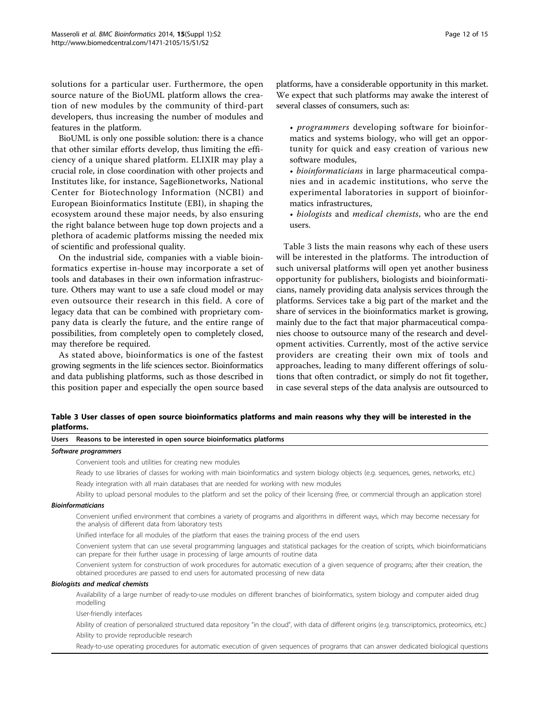solutions for a particular user. Furthermore, the open source nature of the BioUML platform allows the creation of new modules by the community of third-part developers, thus increasing the number of modules and features in the platform.

BioUML is only one possible solution: there is a chance that other similar efforts develop, thus limiting the efficiency of a unique shared platform. ELIXIR may play a crucial role, in close coordination with other projects and Institutes like, for instance, SageBionetworks, National Center for Biotechnology Information (NCBI) and European Bioinformatics Institute (EBI), in shaping the ecosystem around these major needs, by also ensuring the right balance between huge top down projects and a plethora of academic platforms missing the needed mix of scientific and professional quality.

On the industrial side, companies with a viable bioinformatics expertise in-house may incorporate a set of tools and databases in their own information infrastructure. Others may want to use a safe cloud model or may even outsource their research in this field. A core of legacy data that can be combined with proprietary company data is clearly the future, and the entire range of possibilities, from completely open to completely closed, may therefore be required.

As stated above, bioinformatics is one of the fastest growing segments in the life sciences sector. Bioinformatics and data publishing platforms, such as those described in this position paper and especially the open source based

platforms, have a considerable opportunity in this market. We expect that such platforms may awake the interest of several classes of consumers, such as:

• programmers developing software for bioinformatics and systems biology, who will get an opportunity for quick and easy creation of various new software modules,

• bioinformaticians in large pharmaceutical companies and in academic institutions, who serve the experimental laboratories in support of bioinformatics infrastructures,

• biologists and medical chemists, who are the end users.

Table 3 lists the main reasons why each of these users will be interested in the platforms. The introduction of such universal platforms will open yet another business opportunity for publishers, biologists and bioinformaticians, namely providing data analysis services through the platforms. Services take a big part of the market and the share of services in the bioinformatics market is growing, mainly due to the fact that major pharmaceutical companies choose to outsource many of the research and development activities. Currently, most of the active service providers are creating their own mix of tools and approaches, leading to many different offerings of solutions that often contradict, or simply do not fit together, in case several steps of the data analysis are outsourced to

Table 3 User classes of open source bioinformatics platforms and main reasons why they will be interested in the platforms.

| Users Reasons to be interested in open source bioinformatics platforms                                                                                                                                                           |
|----------------------------------------------------------------------------------------------------------------------------------------------------------------------------------------------------------------------------------|
| Software programmers                                                                                                                                                                                                             |
| Convenient tools and utilities for creating new modules                                                                                                                                                                          |
| Ready to use libraries of classes for working with main bioinformatics and system biology objects (e.g. sequences, genes, networks, etc.)                                                                                        |
| Ready integration with all main databases that are needed for working with new modules                                                                                                                                           |
| Ability to upload personal modules to the platform and set the policy of their licensing (free, or commercial through an application store)                                                                                      |
| <b>Bioinformaticians</b>                                                                                                                                                                                                         |
| Convenient unified environment that combines a variety of programs and algorithms in different ways, which may become necessary for<br>the analysis of different data from laboratory tests                                      |
| Unified interface for all modules of the platform that eases the training process of the end users                                                                                                                               |
| Convenient system that can use several programming languages and statistical packages for the creation of scripts, which bioinformaticians<br>can prepare for their further usage in processing of large amounts of routine data |
| Convenient system for construction of work procedures for automatic execution of a given sequence of programs; after their creation, the<br>obtained procedures are passed to end users for automated processing of new data     |
| <b>Biologists and medical chemists</b>                                                                                                                                                                                           |
| Availability of a large number of ready-to-use modules on different branches of bioinformatics, system biology and computer aided drug<br>modelling                                                                              |
| User-friendly interfaces                                                                                                                                                                                                         |
| Ability of creation of personalized structured data repository "in the cloud", with data of different origins (e.g. transcriptomics, proteomics, etc.)                                                                           |
| Ability to provide reproducible research                                                                                                                                                                                         |
| Ready-to-use operating procedures for automatic execution of given sequences of programs that can answer dedicated biological questions                                                                                          |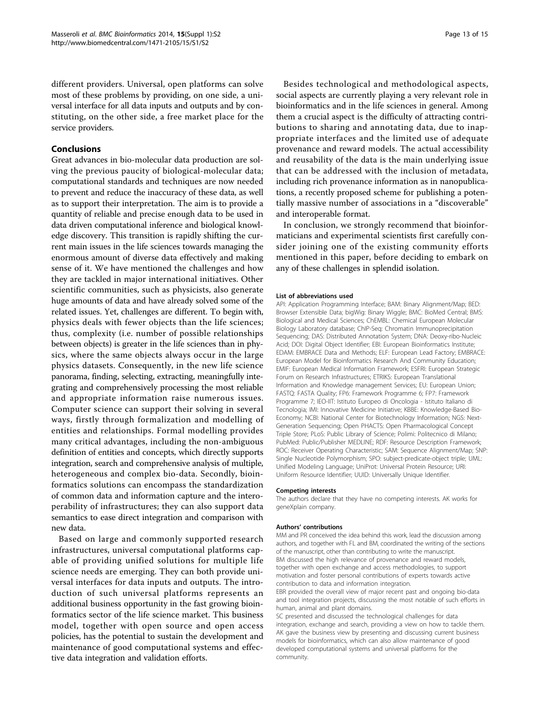different providers. Universal, open platforms can solve most of these problems by providing, on one side, a universal interface for all data inputs and outputs and by constituting, on the other side, a free market place for the service providers.

# Conclusions

Great advances in bio-molecular data production are solving the previous paucity of biological-molecular data; computational standards and techniques are now needed to prevent and reduce the inaccuracy of these data, as well as to support their interpretation. The aim is to provide a quantity of reliable and precise enough data to be used in data driven computational inference and biological knowledge discovery. This transition is rapidly shifting the current main issues in the life sciences towards managing the enormous amount of diverse data effectively and making sense of it. We have mentioned the challenges and how they are tackled in major international initiatives. Other scientific communities, such as physicists, also generate huge amounts of data and have already solved some of the related issues. Yet, challenges are different. To begin with, physics deals with fewer objects than the life sciences; thus, complexity (i.e. number of possible relationships between objects) is greater in the life sciences than in physics, where the same objects always occur in the large physics datasets. Consequently, in the new life science panorama, finding, selecting, extracting, meaningfully integrating and comprehensively processing the most reliable and appropriate information raise numerous issues. Computer science can support their solving in several ways, firstly through formalization and modelling of entities and relationships. Formal modelling provides many critical advantages, including the non-ambiguous definition of entities and concepts, which directly supports integration, search and comprehensive analysis of multiple, heterogeneous and complex bio-data. Secondly, bioinformatics solutions can encompass the standardization of common data and information capture and the interoperability of infrastructures; they can also support data semantics to ease direct integration and comparison with new data.

Based on large and commonly supported research infrastructures, universal computational platforms capable of providing unified solutions for multiple life science needs are emerging. They can both provide universal interfaces for data inputs and outputs. The introduction of such universal platforms represents an additional business opportunity in the fast growing bioinformatics sector of the life science market. This business model, together with open source and open access policies, has the potential to sustain the development and maintenance of good computational systems and effective data integration and validation efforts.

Besides technological and methodological aspects, social aspects are currently playing a very relevant role in bioinformatics and in the life sciences in general. Among them a crucial aspect is the difficulty of attracting contributions to sharing and annotating data, due to inappropriate interfaces and the limited use of adequate provenance and reward models. The actual accessibility and reusability of the data is the main underlying issue that can be addressed with the inclusion of metadata, including rich provenance information as in nanopublications, a recently proposed scheme for publishing a potentially massive number of associations in a "discoverable" and interoperable format.

In conclusion, we strongly recommend that bioinformaticians and experimental scientists first carefully consider joining one of the existing community efforts mentioned in this paper, before deciding to embark on any of these challenges in splendid isolation.

#### List of abbreviations used

API: Application Programming Interface; BAM: Binary Alignment/Map; BED: Browser Extensible Data; bigWig: Binary Wiggle; BMC: BioMed Central; BMS: Biological and Medical Sciences; ChEMBL: Chemical European Molecular Biology Laboratory database; ChIP-Seq: Chromatin Immunoprecipitation Sequencing; DAS: Distributed Annotation System; DNA: Deoxy-ribo-Nucleic Acid; DOI: Digital Object Identifier; EBI: European Bioinformatics Institute; EDAM: EMBRACE Data and Methods; ELF: European Lead Factory; EMBRACE: European Model for Bioinformatics Research And Community Education; EMIF: European Medical Information Framework; ESFRI: European Strategic Forum on Research Infrastructures; ETRIKS: European Translational Information and Knowledge management Services; EU: European Union; FASTQ: FASTA Quality; FP6: Framework Programme 6; FP7: Framework Programme 7; IEO-IIT: Istituto Europeo di Oncologia - Istituto Italiano di Tecnologia; IMI: Innovative Medicine Initiative; KBBE: Knowledge-Based Bio-Economy; NCBI: National Center for Biotechnology Information; NGS: Next-Generation Sequencing; Open PHACTS: Open Pharmacological Concept Triple Store; PLoS: Public Library of Science; Polimi: Politecnico di Milano; PubMed: Public/Publisher MEDLINE; RDF: Resource Description Framework; ROC: Receiver Operating Characteristic; SAM: Sequence Alignment/Map; SNP: Single Nucleotide Polymorphism; SPO: subject-predicate-object triple; UML: Unified Modeling Language; UniProt: Universal Protein Resource; URI: Uniform Resource Identifier; UUID: Universally Unique Identifier.

#### Competing interests

The authors declare that they have no competing interests. AK works for geneXplain company.

#### Authors' contributions

MM and PR conceived the idea behind this work, lead the discussion among authors, and together with FL and BM, coordinated the writing of the sections of the manuscript, other than contributing to write the manuscript. BM discussed the high relevance of provenance and reward models, together with open exchange and access methodologies, to support motivation and foster personal contributions of experts towards active contribution to data and information integration.

EBR provided the overall view of major recent past and ongoing bio-data and tool integration projects, discussing the most notable of such efforts in human, animal and plant domains.

SC presented and discussed the technological challenges for data integration, exchange and search, providing a view on how to tackle them. AK gave the business view by presenting and discussing current business models for bioinformatics, which can also allow maintenance of good developed computational systems and universal platforms for the community.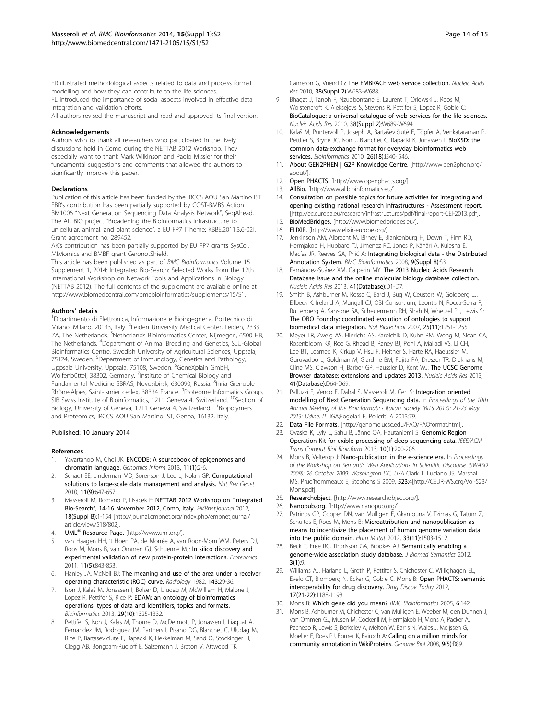<span id="page-13-0"></span>FR illustrated methodological aspects related to data and process formal modelling and how they can contribute to the life sciences.

FL introduced the importance of social aspects involved in effective data integration and validation efforts. All authors revised the manuscript and read and approved its final version.

#### Acknowledgements

Authors wish to thank all researchers who participated in the lively discussions held in Como during the NETTAB 2012 Workshop. They especially want to thank Mark Wilkinson and Paolo Missier for their fundamental suggestions and comments that allowed the authors to significantly improve this paper.

#### Declarations

Publication of this article has been funded by the IRCCS AOU San Martino IST. EBR's contribution has been partially supported by COST-BMBS Action BM1006 "Next Generation Sequencing Data Analysis Network", SeqAhead, The ALLBIO project "Broadening the Bioinformatics Infrastructure to unicellular, animal, and plant science", a EU FP7 [Theme: KBBE.2011.3.6-02], Grant agreement no: 289452.

AK's contribution has been partially supported by EU FP7 grants SysCol, MIMomics and BMBF grant GeronotShield.

This article has been published as part of BMC Bioinformatics Volume 15 Supplement 1, 2014: Integrated Bio-Search: Selected Works from the 12th International Workshop on Network Tools and Applications in Biology (NETTAB 2012). The full contents of the supplement are available online at [http://www.biomedcentral.com/bmcbioinformatics/supplements/15/S1.](http://www.biomedcentral.com/bmcbioinformatics/supplements/15/S1)

#### Authors' details <sup>1</sup>

Dipartimento di Elettronica, Informazione e Bioingegneria, Politecnico di Milano, Milano, 20133, Italy. <sup>2</sup>Leiden University Medical Center, Leiden, 2333 ZA, The Netherlands. <sup>3</sup>Netherlands Bioinformatics Center, Nijmegen, 6500 HB, The Netherlands. <sup>4</sup>Department of Animal Breeding and Genetics, SLU-Global Bioinformatics Centre, Swedish University of Agricultural Sciences, Uppsala, 75124, Sweden. <sup>5</sup>Department of Immunology, Genetics and Pathology,<br>Uppsala University, Uppsala, 75108, Sweden. <sup>6</sup>GeneXplain GmbH, Wolfenbüttel, 38302, Germany. <sup>7</sup>Institute of Chemical Biology and Fundamental Medicine SBRAS, Novosibirsk, 630090, Russia. <sup>8</sup>Inria Grenoble Rhône-Alpes, Saint-Ismier cedex, 38334 France. <sup>9</sup>Proteome Informatics Group, SIB Swiss Institute of Bioinformatics, 1211 Geneva 4, Switzerland. <sup>10</sup>Section of Biology, University of Geneva, 1211 Geneva 4, Switzerland. <sup>11</sup>Biopolymers and Proteomics, IRCCS AOU San Martino IST, Genoa, 16132, Italy.

#### Published: 10 January 2014

#### References

- Yavartanoo M, Choi JK: ENCODE: A sourcebook of epigenomes and chromatin language. Genomics Inform 2013, 11(1):2-6.
- 2. Schadt EE, Linderman MD, Sorenson J, Lee L, Nolan GP: Computational solutions to large-scale data management and analysis. Nat Rev Genet 2010, 11(9):647-657.
- 3. Masseroli M, Romano P, Lisacek F: NETTAB 2012 Workshop on "Integrated Bio-Search", 14-16 November 2012, Como, Italy. EMBnet.journal 2012, 18(Suppl B):1-154 [\[http://journal.embnet.org/index.php/embnetjournal/](http://journal.embnet.org/index.php/embnetjournal/article/view/518/802) [article/view/518/802](http://journal.embnet.org/index.php/embnetjournal/article/view/518/802)].
- 4. **UML<sup>®</sup> Resource Page.** [\[http://www.uml.org/\]](http://www.uml.org/).
- van Haagen HH, 't Hoen PA, de Morrée A, van Roon-Mom WM, Peters DJ, Roos M, Mons B, van Ommen GJ, Schuemie MJ: In silico discovery and experimental validation of new protein-protein interactions. Proteomics 2011, 11(5):843-853.
- 6. Hanley JA, McNeil BJ: The meaning and use of the area under a receiver operating characteristic (ROC) curve. Radiology 1982, 143:29-36.
- 7. Ison J, Kalaš M, Jonassen I, Bolser D, Uludag M, McWilliam H, Malone J, Lopez R, Pettifer S, Rice P: EDAM: an ontology of bioinformatics operations, types of data and identifiers, topics and formats. Bioinformatics 2013, 29(10):1325-1332.
- Pettifer S, Ison J, Kalas M, Thorne D, McDermott P, Jonassen I, Liaquat A, Fernandez JM, Rodriguez JM, Partners I, Pisano DG, Blanchet C, Uludag M, Rice P, Bartaseviciute E, Rapacki K, Hekkelman M, Sand O, Stockinger H, Clegg AB, Bongcam-Rudloff E, Salzemann J, Breton V, Attwood TK,

Cameron G, Vriend G: The EMBRACE web service collection. Nucleic Acids Res 2010, 38(Suppl 2):W683-W688.

- 9. Bhagat J, Tanoh F, Nzuobontane E, Laurent T, Orlowski J, Roos M, Wolstencroft K, Aleksejevs S, Stevens R, Pettifer S, Lopez R, Goble C: BioCatalogue: a universal catalogue of web services for the life sciences. Nucleic Acids Res 2010, 38(Suppl 2):W689-W694.
- 10. Kalaš M, Puntervoll P, Joseph A, Bartaševičiutė E, Töpfer A, Venkataraman P, Pettifer S, Bryne JC, Ison J, Blanchet C, Rapacki K, Jonassen I: BioXSD: the common data-exchange format for everyday bioinformatics web services. Bioinformatics 2010, 26(18):i540-i546.
- 11. About GEN2PHEN | G2P Knowledge Centre. [[http://www.gen2phen.org/](http://www.gen2phen.org/about/) [about/\]](http://www.gen2phen.org/about/).
- 12. Open PHACTS. [[http://www.openphacts.org/\]](http://www.openphacts.org/).
- 13. AllBio. [\[http://www.allbioinformatics.eu/\]](http://www.allbioinformatics.eu/).
- 14. Consultation on possible topics for future activities for integrating and opening existing national research infrastructures - Assessment report. [<http://ec.europa.eu/research/infrastructures/pdf/final-report-CEI-2013.pdf>]. 15. BioMedBridges. [<http://www.biomedbridges.eu/>].
- 16. ELIXIR. [\[http://www.elixir-europe.org/\]](http://www.elixir-europe.org/).
- 17. Jenkinson AM, Albrecht M, Birney E, Blankenburg H, Down T, Finn RD, Hermjakob H, Hubbard TJ, Jimenez RC, Jones P, Kähäri A, Kulesha E, Macías JR, Reeves GA, Prlić A: Integrating biological data - the Distributed Annotation System. BMC Bioinformatics 2008, 9(Suppl 8):S3.
- 18. Fernández-Suárez XM, Galperin MY: The 2013 Nucleic Acids Research Database Issue and the online molecular biology database collection. Nucleic Acids Res 2013, 41(Database):D1-D7.
- 19. Smith B, Ashburner M, Rosse C, Bard J, Bug W, Ceusters W, Goldberg LJ, Eilbeck K, Ireland A, Mungall CJ, OBI Consortium, Leontis N, Rocca-Serra P, Ruttenberg A, Sansone SA, Scheuermann RH, Shah N, Whetzel PL, Lewis S: The OBO Foundry: coordinated evolution of ontologies to support biomedical data integration. Nat Biotechnol 2007, 25(11):1251-1255.
- 20. Meyer LR, Zweig AS, Hinrichs AS, Karolchik D, Kuhn RM, Wong M, Sloan CA, Rosenbloom KR, Roe G, Rhead B, Raney BJ, Pohl A, Malladi VS, Li CH, Lee BT, Learned K, Kirkup V, Hsu F, Heitner S, Harte RA, Haeussler M, Guruvadoo L, Goldman M, Giardine BM, Fujita PA, Dreszer TR, Diekhans M, Cline MS, Clawson H, Barber GP, Haussler D, Kent WJ: The UCSC Genome Browser database: extensions and updates 2013. Nucleic Acids Res 2013, 41(Database):D64-D69.
- 21. Palluzzi F, Venco F, Dahal S, Masseroli M, Ceri S: Integration oriented modelling of Next Generation Sequencing data. In Proceedings of the 10th Annual Meeting of the Bioinformatics Italian Society (BITS 2013): 21-23 May 2013: Udine, IT. IGA;Fogolari F, Policriti A 2013:79.
- 22. Data File Formats. [[http://genome.ucsc.edu/FAQ/FAQformat.html\]](http://genome.ucsc.edu/FAQ/FAQformat.html).
- 23. Ovaska K, Lyly L, Sahu B, Jänne OA, Hautaniemi S: Genomic Region Operation Kit for exible processing of deep sequencing data. IEEE/ACM Trans Comput Biol Bioinform 2013, 10(1):200-206.
- 24. Mons B, Velterop J: Nano-publication in the e-science era. In Proceedings of the Workshop on Semantic Web Applications in Scientific Discourse (SWASD 2009): 26 October 2009: Washington DC, USA Clark T, Luciano JS, Marshall MS, Prud'hommeaux E, Stephens S 2009, 523:4[\[http://CEUR-WS.org/Vol-523/](http://CEUR-WS.org/Vol-523/Mons.pdf) [Mons.pdf\]](http://CEUR-WS.org/Vol-523/Mons.pdf).
- 25. Researchobject. [\[http://www.researchobject.org/](http://www.researchobject.org/)].
- 26. Nanopub.org. [\[http://www.nanopub.org/\]](http://www.nanopub.org/).
- 27. Patrinos GP, Cooper DN, van Mulligen E, Gkantouna V, Tzimas G, Tatum Z, Schultes E, Roos M, Mons B: Microattribution and nanopublication as means to incentivize the placement of human genome variation data into the public domain. Hum Mutat 2012, 33(11):1503-1512.
- 28. Beck T, Free RC, Thorisson GA, Brookes AJ: Semantically enabling a genome-wide association study database. J Biomed Semantics 2012, 3(1):9.
- 29. Williams AJ, Harland L, Groth P, Pettifer S, Chichester C, Willighagen EL, Evelo CT, Blomberg N, Ecker G, Goble C, Mons B: Open PHACTS: semantic interoperability for drug discovery. Drug Discov Today 2012, 17(21-22):1188-1198.
- 30. Mons B: Which gene did you mean? BMC Bioinformatics 2005, 6:142.
- 31. Mons B, Ashburner M, Chichester C, van Mulligen E, Weeber M, den Dunnen J, van Ommen GJ, Musen M, Cockerill M, Hermjakob H, Mons A, Packer A, Pacheco R, Lewis S, Berkeley A, Melton W, Barris N, Wales J, Meijssen G, Moeller E, Roes PJ, Borner K, Bairoch A: Calling on a million minds for community annotation in WikiProteins. Genome Biol 2008, 9(5):R89.